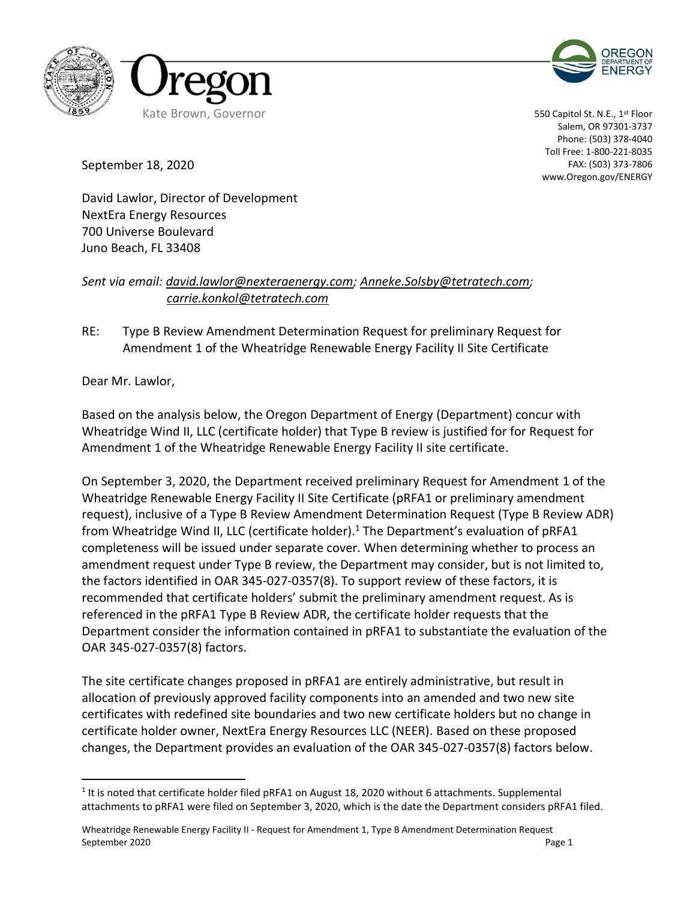



550 Capitol St. N.E., 1<sup>st</sup> Floor Salem, OR 97301-3737 Phone: (503) 378-4040 Toll Free: 1-800-221-8035 FAX: (503) 373-7806 www.Oregon.gov/ENERGY

September 18, 2020

David Lawlor, Director of Development NextEra Energy Resources 700 Universe Boulevard Juno Beach, FL 33408

## *Sent via email: [david.lawlor@nexteraenergy.com;](mailto:david.lawlor@nexteraenergy.com) [Anneke.Solsby@tetratech.com;](mailto:Anneke.Solsby@tetratech.com) carrie.konkol@tetratech.com*

RE: Type B Review Amendment Determination Request for preliminary Request for Amendment 1 of the Wheatridge Renewable Energy Facility II Site Certificate

Dear Mr. Lawlor,

Based on the analysis below, the Oregon Department of Energy (Department) concur with Wheatridge Wind II, LLC (certificate holder) that Type B review is justified for for Request for Amendment 1 of the Wheatridge Renewable Energy Facility II site certificate.

On September 3, 2020, the Department received preliminary Request for Amendment 1 of the Wheatridge Renewable Energy Facility II Site Certificate (pRFA1 or preliminary amendment request), inclusive of a Type B Review Amendment Determination Request (Type B Review ADR) from Wheatridge Wind II, LLC (certificate holder).<sup>1</sup> The Department's evaluation of pRFA1 completeness will be issued under separate cover. When determining whether to process an amendment request under Type B review, the Department may consider, but is not limited to, the factors identified in OAR 345-027-0357(8). To support review of these factors, it is recommended that certificate holders' submit the preliminary amendment request. As is referenced in the pRFA1 Type B Review ADR, the certificate holder requests that the Department consider the information contained in pRFA1 to substantiate the evaluation of the OAR 345-027-0357(8) factors.

The site certificate changes proposed in pRFA1 are entirely administrative, but result in allocation of previously approved facility components into an amended and two new site certificates with redefined site boundaries and two new certificate holders but no change in certificate holder owner, NextEra Energy Resources LLC (NEER). Based on these proposed changes, the Department provides an evaluation of the OAR 345-027-0357(8) factors below.

 $1$  It is noted that certificate holder filed pRFA1 on August 18, 2020 without 6 attachments. Supplemental attachments to pRFA1 were filed on September 3, 2020, which is the date the Department considers pRFA1 filed.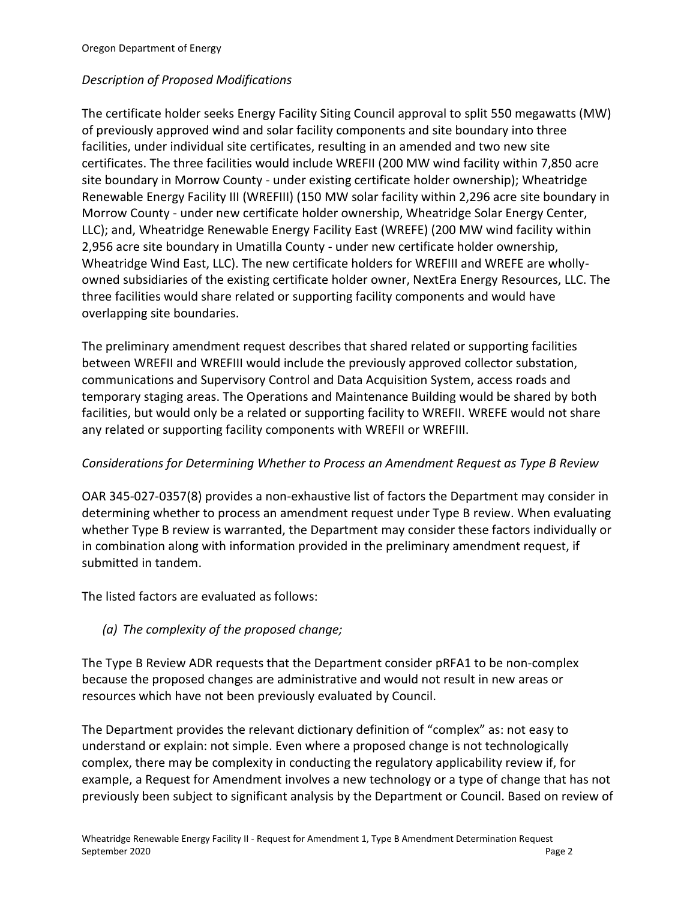#### *Description of Proposed Modifications*

The certificate holder seeks Energy Facility Siting Council approval to split 550 megawatts (MW) of previously approved wind and solar facility components and site boundary into three facilities, under individual site certificates, resulting in an amended and two new site certificates. The three facilities would include WREFII (200 MW wind facility within 7,850 acre site boundary in Morrow County - under existing certificate holder ownership); Wheatridge Renewable Energy Facility III (WREFIII) (150 MW solar facility within 2,296 acre site boundary in Morrow County - under new certificate holder ownership, Wheatridge Solar Energy Center, LLC); and, Wheatridge Renewable Energy Facility East (WREFE) (200 MW wind facility within 2,956 acre site boundary in Umatilla County - under new certificate holder ownership, Wheatridge Wind East, LLC). The new certificate holders for WREFIII and WREFE are whollyowned subsidiaries of the existing certificate holder owner, NextEra Energy Resources, LLC. The three facilities would share related or supporting facility components and would have overlapping site boundaries.

The preliminary amendment request describes that shared related or supporting facilities between WREFII and WREFIII would include the previously approved collector substation, communications and Supervisory Control and Data Acquisition System, access roads and temporary staging areas. The Operations and Maintenance Building would be shared by both facilities, but would only be a related or supporting facility to WREFII. WREFE would not share any related or supporting facility components with WREFII or WREFIII.

#### *Considerations for Determining Whether to Process an Amendment Request as Type B Review*

OAR 345-027-0357(8) provides a non-exhaustive list of factors the Department may consider in determining whether to process an amendment request under Type B review. When evaluating whether Type B review is warranted, the Department may consider these factors individually or in combination along with information provided in the preliminary amendment request, if submitted in tandem.

The listed factors are evaluated as follows:

### *(a) The complexity of the proposed change;*

The Type B Review ADR requests that the Department consider pRFA1 to be non-complex because the proposed changes are administrative and would not result in new areas or resources which have not been previously evaluated by Council.

The Department provides the relevant dictionary definition of "complex" as: not easy to understand or explain: not simple. Even where a proposed change is not technologically complex, there may be complexity in conducting the regulatory applicability review if, for example, a Request for Amendment involves a new technology or a type of change that has not previously been subject to significant analysis by the Department or Council. Based on review of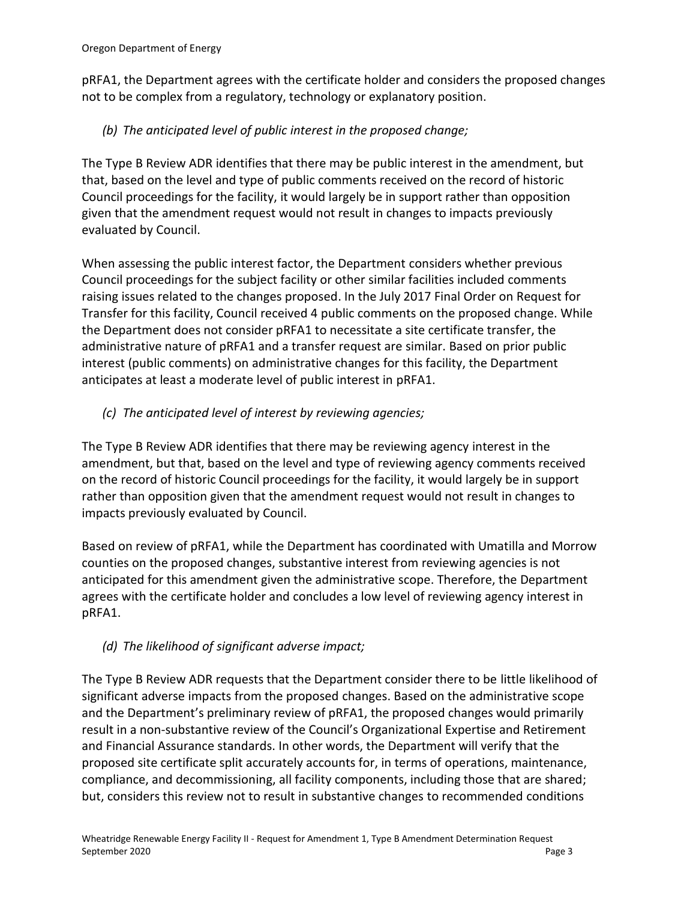pRFA1, the Department agrees with the certificate holder and considers the proposed changes not to be complex from a regulatory, technology or explanatory position.

# *(b) The anticipated level of public interest in the proposed change;*

The Type B Review ADR identifies that there may be public interest in the amendment, but that, based on the level and type of public comments received on the record of historic Council proceedings for the facility, it would largely be in support rather than opposition given that the amendment request would not result in changes to impacts previously evaluated by Council.

When assessing the public interest factor, the Department considers whether previous Council proceedings for the subject facility or other similar facilities included comments raising issues related to the changes proposed. In the July 2017 Final Order on Request for Transfer for this facility, Council received 4 public comments on the proposed change. While the Department does not consider pRFA1 to necessitate a site certificate transfer, the administrative nature of pRFA1 and a transfer request are similar. Based on prior public interest (public comments) on administrative changes for this facility, the Department anticipates at least a moderate level of public interest in pRFA1.

# *(c) The anticipated level of interest by reviewing agencies;*

The Type B Review ADR identifies that there may be reviewing agency interest in the amendment, but that, based on the level and type of reviewing agency comments received on the record of historic Council proceedings for the facility, it would largely be in support rather than opposition given that the amendment request would not result in changes to impacts previously evaluated by Council.

Based on review of pRFA1, while the Department has coordinated with Umatilla and Morrow counties on the proposed changes, substantive interest from reviewing agencies is not anticipated for this amendment given the administrative scope. Therefore, the Department agrees with the certificate holder and concludes a low level of reviewing agency interest in pRFA1.

# *(d) The likelihood of significant adverse impact;*

The Type B Review ADR requests that the Department consider there to be little likelihood of significant adverse impacts from the proposed changes. Based on the administrative scope and the Department's preliminary review of pRFA1, the proposed changes would primarily result in a non-substantive review of the Council's Organizational Expertise and Retirement and Financial Assurance standards. In other words, the Department will verify that the proposed site certificate split accurately accounts for, in terms of operations, maintenance, compliance, and decommissioning, all facility components, including those that are shared; but, considers this review not to result in substantive changes to recommended conditions